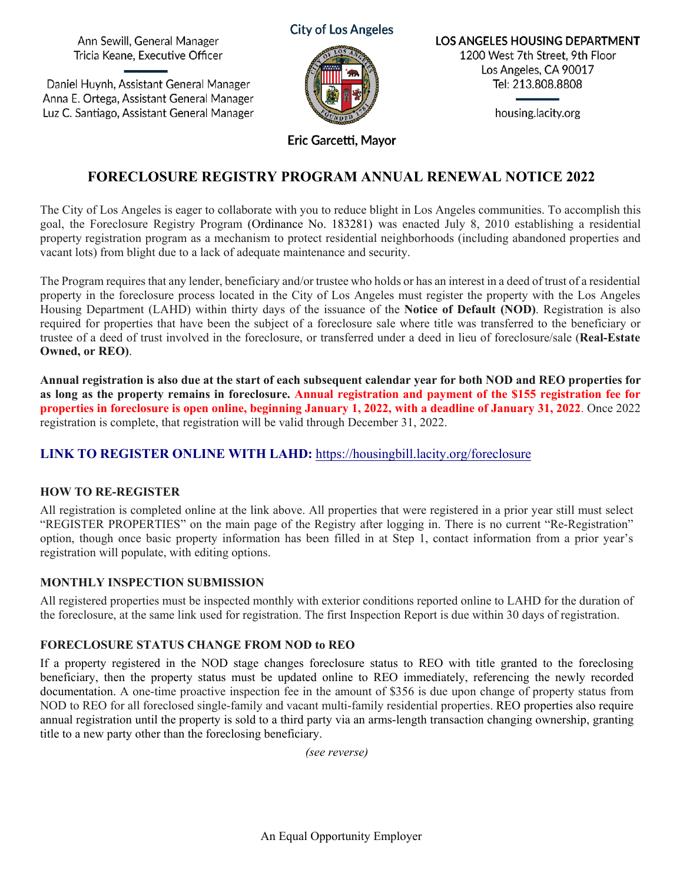Ann Sewill, General Manager Tricia Keane, Executive Officer

Daniel Huynh, Assistant General Manager Anna E. Ortega, Assistant General Manager Luz C. Santiago, Assistant General Manager





**LOS ANGELES HOUSING DEPARTMENT** 1200 West 7th Street, 9th Floor Los Angeles, CA 90017 Tel: 213.808.8808

housing.lacity.org

Eric Garcetti, Mayor

# **FORECLOSURE REGISTRY PROGRAM ANNUAL RENEWAL NOTICE 2022**

The City of Los Angeles is eager to collaborate with you to reduce blight in Los Angeles communities. To accomplish this goal, the Foreclosure Registry Program (Ordinance No. 183281) was enacted July 8, 2010 establishing a residential property registration program as a mechanism to protect residential neighborhoods (including abandoned properties and vacant lots) from blight due to a lack of adequate maintenance and security.

The Program requires that any lender, beneficiary and/or trustee who holds or has an interest in a deed of trust of a residential property in the foreclosure process located in the City of Los Angeles must register the property with the Los Angeles Housing Department (LAHD) within thirty days of the issuance of the **Notice of Default (NOD)**. Registration is also required for properties that have been the subject of a foreclosure sale where title was transferred to the beneficiary or trustee of a deed of trust involved in the foreclosure, or transferred under a deed in lieu of foreclosure/sale (**Real-Estate Owned, or REO)**.

**Annual registration is also due at the start of each subsequent calendar year for both NOD and REO properties for as long as the property remains in foreclosure. Annual registration and payment of the \$155 registration fee for properties in foreclosure is open online, beginning January 1, 2022, with a deadline of January 31, 2022**. Once 2022 registration is complete, that registration will be valid through December 31, 2022.

# **LINK TO REGISTER ONLINE WITH LAHD:** <https://housingbill.lacity.org/foreclosure>

#### **HOW TO RE-REGISTER**

All registration is completed online at the link above. All properties that were registered in a prior year still must select "REGISTER PROPERTIES" on the main page of the Registry after logging in. There is no current "Re-Registration" option, though once basic property information has been filled in at Step 1, contact information from a prior year's registration will populate, with editing options.

# **MONTHLY INSPECTION SUBMISSION**

All registered properties must be inspected monthly with exterior conditions reported online to LAHD for the duration of the foreclosure, at the same link used for registration. The first Inspection Report is due within 30 days of registration.

# **FORECLOSURE STATUS CHANGE FROM NOD to REO**

If a property registered in the NOD stage changes foreclosure status to REO with title granted to the foreclosing beneficiary, then the property status must be updated online to REO immediately, referencing the newly recorded documentation. A one-time proactive inspection fee in the amount of \$356 is due upon change of property status from NOD to REO for all foreclosed single-family and vacant multi-family residential properties. REO properties also require annual registration until the property is sold to a third party via an arms-length transaction changing ownership, granting title to a new party other than the foreclosing beneficiary.

*(see reverse)*